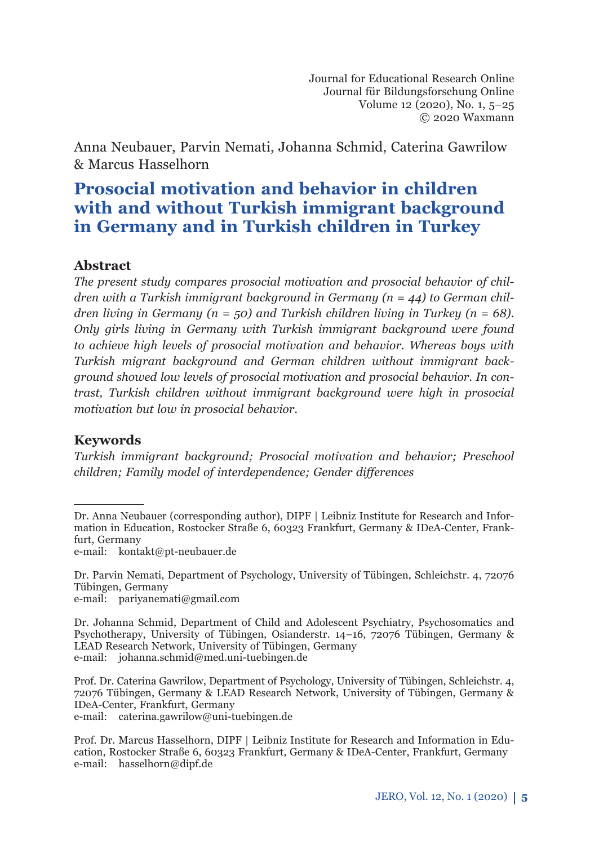Journal for Educational Research Online Journal für Bildungsforschung Online Volume 12 (2020), No. 1, 5–25 © 2020 Waxmann

Anna Neubauer, Parvin Nemati, Johanna Schmid, Caterina Gawrilow & Marcus Hasselhorn

# **Prosocial motivation and behavior in children with and without Turkish immigrant background in Germany and in Turkish children in Turkey**

### **Abstract** *<sup>1</sup>*

*The present study compares prosocial motivation and prosocial behavior of children with a Turkish immigrant background in Germany (n = 44) to German children living in Germany (n = 50) and Turkish children living in Turkey (n = 68). Only girls living in Germany with Turkish immigrant background were found to achieve high levels of prosocial motivation and behavior. Whereas boys with Turkish migrant background and German children without immigrant background showed low levels of prosocial motivation and prosocial behavior. In contrast, Turkish children without immigrant background were high in prosocial motivation but low in prosocial behavior.*

### **Keywords**

*Turkish immigrant background; Prosocial motivation and behavior; Preschool children; Family model of interdependence; Gender differences* 

e-mail: kontakt@pt-neubauer.de

Dr. Parvin Nemati, Department of Psychology, University of Tübingen, Schleichstr. 4, 72076 Tübingen, Germany

e-mail: pariyanemati@gmail.com

Dr. Johanna Schmid, Department of Child and Adolescent Psychiatry, Psychosomatics and Psychotherapy, University of Tübingen, Osianderstr. 14–16, 72076 Tübingen, Germany & LEAD Research Network, University of Tübingen, Germany e-mail: johanna.schmid@med.uni-tuebingen.de

Prof. Dr. Caterina Gawrilow, Department of Psychology, University of Tübingen, Schleichstr. 4, 72076 Tübingen, Germany & LEAD Research Network, University of Tübingen, Germany & IDeA-Center, Frankfurt, Germany e-mail: caterina.gawrilow@uni-tuebingen.de

Dr. Anna Neubauer (corresponding author), DIPF | Leibniz Institute for Research and Information in Education, Rostocker Straße 6, 60323 Frankfurt, Germany & IDeA-Center, Frankfurt, Germany

Prof. Dr. Marcus Hasselhorn, DIPF | Leibniz Institute for Research and Information in Education, Rostocker Straße 6, 60323 Frankfurt, Germany & IDeA-Center, Frankfurt, Germany e-mail: hasselhorn@dipf.de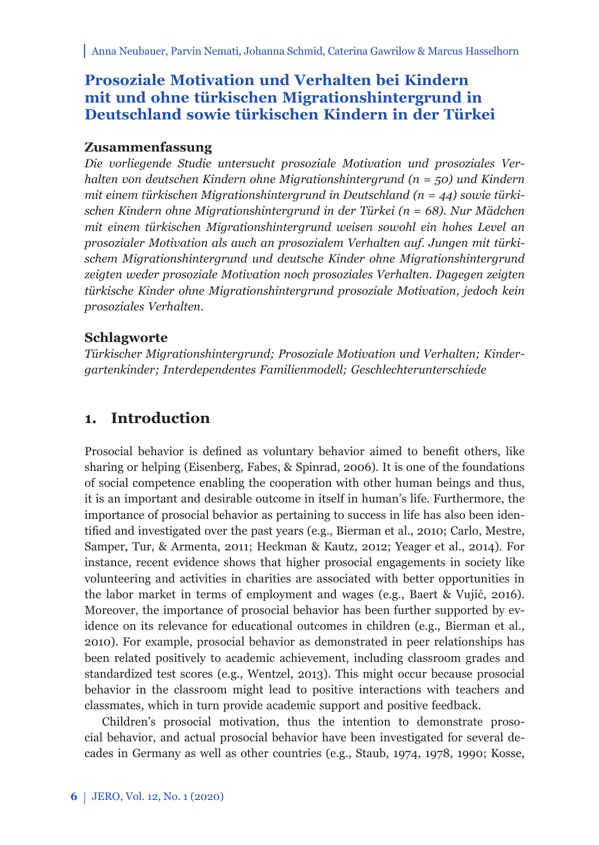# **Prosoziale Motivation und Verhalten bei Kindern mit und ohne türkischen Migrationshintergrund in Deutschland sowie türkischen Kindern in der Türkei**

### **Zusammenfassung**

*Die vorliegende Studie untersucht prosoziale Motivation und prosoziales Verhalten von deutschen Kindern ohne Migrationshintergrund (n = 50) und Kindern mit einem türkischen Migrationshintergrund in Deutschland (n = 44) sowie türkischen Kindern ohne Migrationshintergrund in der Türkei (n = 68). Nur Mädchen mit einem türkischen Migrationshintergrund weisen sowohl ein hohes Level an prosozialer Motivation als auch an prosozialem Verhalten auf. Jungen mit türkischem Migrationshintergrund und deutsche Kinder ohne Migrationshintergrund zeigten weder prosoziale Motivation noch prosoziales Verhalten. Dagegen zeigten türkische Kinder ohne Migrationshintergrund prosoziale Motivation, jedoch kein prosoziales Verhalten.*

### **Schlagworte**

*Türkischer Migrationshintergrund; Prosoziale Motivation und Verhalten; Kindergartenkinder; Interdependentes Familienmodell; Geschlechterunterschiede*

# **1. Introduction**

Prosocial behavior is defined as voluntary behavior aimed to benefit others, like sharing or helping (Eisenberg, Fabes, & Spinrad, 2006). It is one of the foundations of social competence enabling the cooperation with other human beings and thus, it is an important and desirable outcome in itself in human's life. Furthermore, the importance of prosocial behavior as pertaining to success in life has also been identified and investigated over the past years (e.g., Bierman et al., 2010; Carlo, Mestre, Samper, Tur, & Armenta, 2011; Heckman & Kautz, 2012; Yeager et al., 2014). For instance, recent evidence shows that higher prosocial engagements in society like volunteering and activities in charities are associated with better opportunities in the labor market in terms of employment and wages (e.g., Baert & Vujić, 2016). Moreover, the importance of prosocial behavior has been further supported by evidence on its relevance for educational outcomes in children (e.g., Bierman et al., 2010). For example, prosocial behavior as demonstrated in peer relationships has been related positively to academic achievement, including classroom grades and standardized test scores (e.g., Wentzel, 2013). This might occur because prosocial behavior in the classroom might lead to positive interactions with teachers and classmates, which in turn provide academic support and positive feedback.

Children's prosocial motivation, thus the intention to demonstrate prosocial behavior, and actual prosocial behavior have been investigated for several decades in Germany as well as other countries (e.g., Staub, 1974, 1978, 1990; Kosse,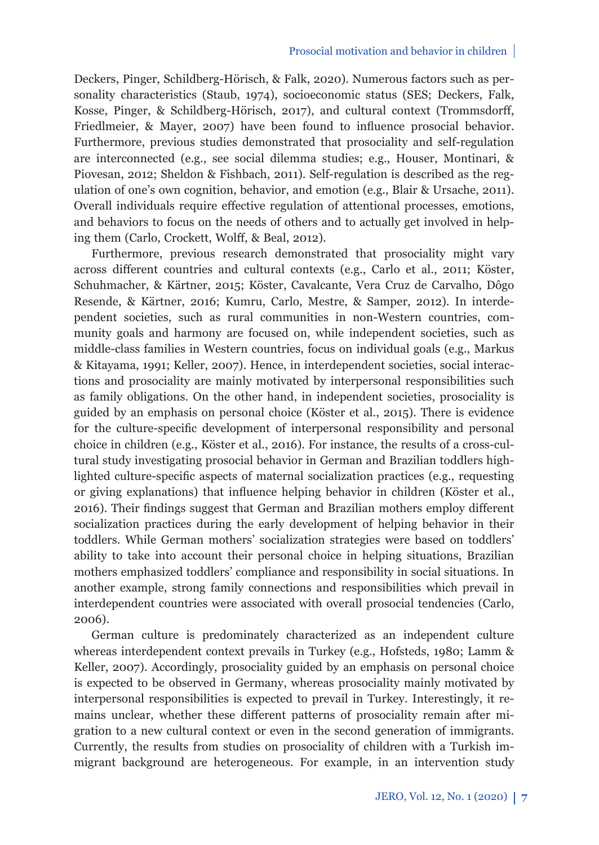Deckers, Pinger, Schildberg-Hörisch, & Falk, 2020). Numerous factors such as personality characteristics (Staub, 1974), socioeconomic status (SES; Deckers, Falk, Kosse, Pinger, & Schildberg-Hörisch, 2017), and cultural context (Trommsdorff, Friedlmeier, & Mayer, 2007) have been found to influence prosocial behavior. Furthermore, previous studies demonstrated that prosociality and self-regulation are interconnected (e.g., see social dilemma studies; e.g., Houser, Montinari, & Piovesan, 2012; Sheldon & Fishbach, 2011). Self-regulation is described as the regulation of one's own cognition, behavior, and emotion (e.g., Blair & Ursache, 2011). Overall individuals require effective regulation of attentional processes, emotions, and behaviors to focus on the needs of others and to actually get involved in helping them (Carlo, Crockett, Wolff, & Beal, 2012).

Furthermore, previous research demonstrated that prosociality might vary across different countries and cultural contexts (e.g., Carlo et al., 2011; Köster, Schuhmacher, & Kärtner, 2015; Köster, Cavalcante, Vera Cruz de Carvalho, Dôgo Resende, & Kärtner, 2016; Kumru, Carlo, Mestre, & Samper, 2012). In interdependent societies, such as rural communities in non-Western countries, community goals and harmony are focused on, while independent societies, such as middle-class families in Western countries, focus on individual goals (e.g., Markus & Kitayama, 1991; Keller, 2007). Hence, in interdependent societies, social interactions and prosociality are mainly motivated by interpersonal responsibilities such as family obligations. On the other hand, in independent societies, prosociality is guided by an emphasis on personal choice (Köster et al., 2015). There is evidence for the culture-specifi c development of interpersonal responsibility and personal choice in children (e.g., Köster et al., 2016). For instance, the results of a cross-cultural study investigating prosocial behavior in German and Brazilian toddlers highlighted culture-specific aspects of maternal socialization practices (e.g., requesting or giving explanations) that influence helping behavior in children (Köster et al., 2016). Their findings suggest that German and Brazilian mothers employ different socialization practices during the early development of helping behavior in their toddlers. While German mothers' socialization strategies were based on toddlers' ability to take into account their personal choice in helping situations, Brazilian mothers emphasized toddlers' compliance and responsibility in social situations. In another example, strong family connections and responsibilities which prevail in interdependent countries were associated with overall prosocial tendencies (Carlo, 2006).

German culture is predominately characterized as an independent culture whereas interdependent context prevails in Turkey (e.g., Hofsteds, 1980; Lamm & Keller, 2007). Accordingly, prosociality guided by an emphasis on personal choice is expected to be observed in Germany, whereas prosociality mainly motivated by interpersonal responsibilities is expected to prevail in Turkey. Interestingly, it remains unclear, whether these different patterns of prosociality remain after migration to a new cultural context or even in the second generation of immigrants. Currently, the results from studies on prosociality of children with a Turkish immigrant background are heterogeneous. For example, in an intervention study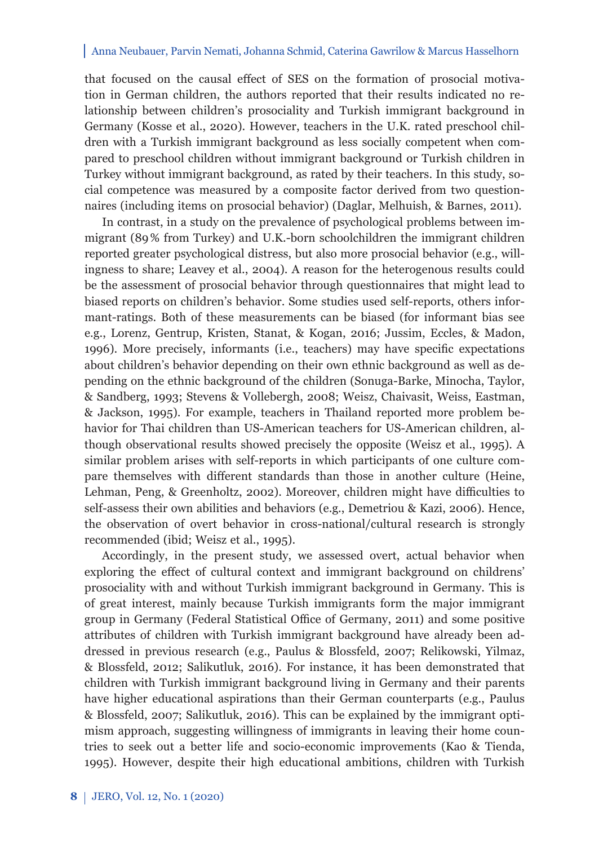that focused on the causal effect of SES on the formation of prosocial motivation in German children, the authors reported that their results indicated no relationship between children's prosociality and Turkish immigrant background in Germany (Kosse et al., 2020). However, teachers in the U.K. rated preschool children with a Turkish immigrant background as less socially competent when compared to preschool children without immigrant background or Turkish children in Turkey without immigrant background, as rated by their teachers. In this study, social competence was measured by a composite factor derived from two questionnaires (including items on prosocial behavior) (Daglar, Melhuish, & Barnes, 2011).

In contrast, in a study on the prevalence of psychological problems between immigrant (89 % from Turkey) and U.K.-born schoolchildren the immigrant children reported greater psychological distress, but also more prosocial behavior (e.g., willingness to share; Leavey et al., 2004). A reason for the heterogenous results could be the assessment of prosocial behavior through questionnaires that might lead to biased reports on children's behavior. Some studies used self-reports, others informant-ratings. Both of these measurements can be biased (for informant bias see e.g., Lorenz, Gentrup, Kristen, Stanat, & Kogan, 2016; Jussim, Eccles, & Madon, 1996). More precisely, informants (i.e., teachers) may have specifi c expectations about children's behavior depending on their own ethnic background as well as depending on the ethnic background of the children (Sonuga-Barke, Minocha, Taylor, & Sandberg, 1993; Stevens & Vollebergh, 2008; Weisz, Chaivasit, Weiss, Eastman, & Jackson, 1995). For example, teachers in Thailand reported more problem behavior for Thai children than US-American teachers for US-American children, although observational results showed precisely the opposite (Weisz et al., 1995). A similar problem arises with self-reports in which participants of one culture compare themselves with different standards than those in another culture (Heine, Lehman, Peng, & Greenholtz, 2002). Moreover, children might have difficulties to self-assess their own abilities and behaviors (e.g., Demetriou & Kazi, 2006). Hence, the observation of overt behavior in cross-national/cultural research is strongly recommended (ibid; Weisz et al., 1995).

Accordingly, in the present study, we assessed overt, actual behavior when exploring the effect of cultural context and immigrant background on childrens' prosociality with and without Turkish immigrant background in Germany. This is of great interest, mainly because Turkish immigrants form the major immigrant group in Germany (Federal Statistical Office of Germany, 2011) and some positive attributes of children with Turkish immigrant background have already been addressed in previous research (e.g., Paulus & Blossfeld, 2007; Relikowski, Yilmaz, & Blossfeld, 2012; Salikutluk, 2016). For instance, it has been demonstrated that children with Turkish immigrant background living in Germany and their parents have higher educational aspirations than their German counterparts (e.g., Paulus & Blossfeld, 2007; Salikutluk, 2016). This can be explained by the immigrant optimism approach, suggesting willingness of immigrants in leaving their home countries to seek out a better life and socio-economic improvements (Kao & Tienda, 1995). However, despite their high educational ambitions, children with Turkish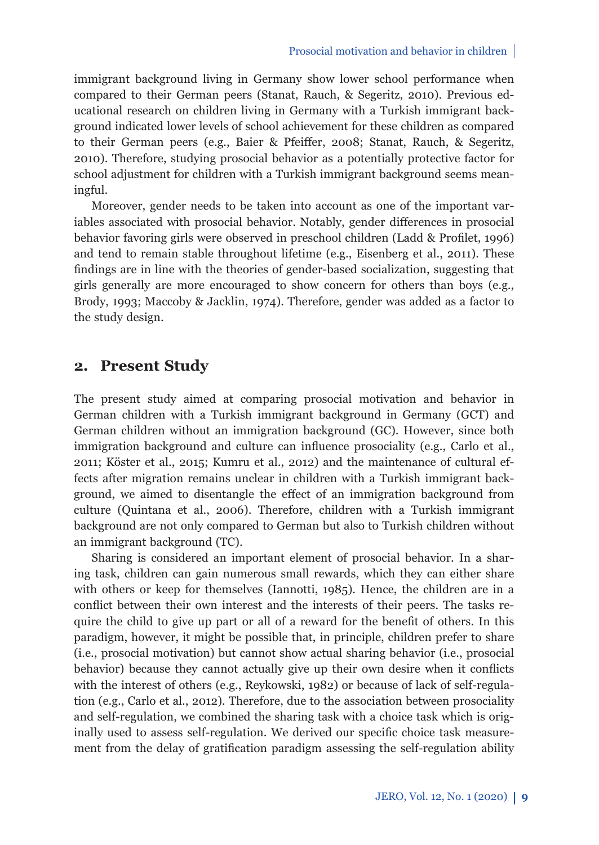immigrant background living in Germany show lower school performance when compared to their German peers (Stanat, Rauch, & Segeritz, 2010). Previous educational research on children living in Germany with a Turkish immigrant background indicated lower levels of school achievement for these children as compared to their German peers (e.g., Baier & Pfeiffer, 2008; Stanat, Rauch, & Segeritz, 2010). Therefore, studying prosocial behavior as a potentially protective factor for school adjustment for children with a Turkish immigrant background seems meaningful.

Moreover, gender needs to be taken into account as one of the important variables associated with prosocial behavior. Notably, gender differences in prosocial behavior favoring girls were observed in preschool children (Ladd & Profilet, 1996) and tend to remain stable throughout lifetime (e.g., Eisenberg et al., 2011). These fi ndings are in line with the theories of gender-based socialization, suggesting that girls generally are more encouraged to show concern for others than boys (e.g., Brody, 1993; Maccoby & Jacklin, 1974). Therefore, gender was added as a factor to the study design.

### **2. Present Study**

The present study aimed at comparing prosocial motivation and behavior in German children with a Turkish immigrant background in Germany (GCT) and German children without an immigration background (GC). However, since both immigration background and culture can influence prosociality (e.g., Carlo et al., 2011; Köster et al., 2015; Kumru et al., 2012) and the maintenance of cultural effects after migration remains unclear in children with a Turkish immigrant background, we aimed to disentangle the effect of an immigration background from culture (Quintana et al., 2006). Therefore, children with a Turkish immigrant background are not only compared to German but also to Turkish children without an immigrant background (TC).

Sharing is considered an important element of prosocial behavior. In a sharing task, children can gain numerous small rewards, which they can either share with others or keep for themselves (Iannotti, 1985). Hence, the children are in a conflict between their own interest and the interests of their peers. The tasks require the child to give up part or all of a reward for the benefit of others. In this paradigm, however, it might be possible that, in principle, children prefer to share (i.e., prosocial motivation) but cannot show actual sharing behavior (i.e., prosocial behavior) because they cannot actually give up their own desire when it conflicts with the interest of others (e.g., Reykowski, 1982) or because of lack of self-regulation (e.g., Carlo et al., 2012). Therefore, due to the association between prosociality and self-regulation, we combined the sharing task with a choice task which is originally used to assess self-regulation. We derived our specific choice task measurement from the delay of gratification paradigm assessing the self-regulation ability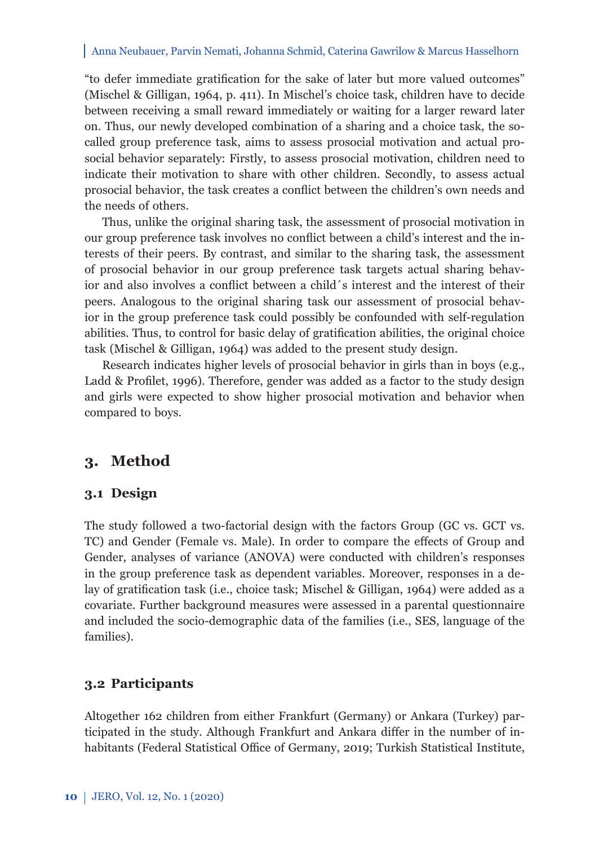"to defer immediate gratification for the sake of later but more valued outcomes" (Mischel & Gilligan, 1964, p. 411). In Mischel's choice task, children have to decide between receiving a small reward immediately or waiting for a larger reward later on. Thus, our newly developed combination of a sharing and a choice task, the socalled group preference task, aims to assess prosocial motivation and actual prosocial behavior separately: Firstly, to assess prosocial motivation, children need to indicate their motivation to share with other children. Secondly, to assess actual prosocial behavior, the task creates a conflict between the children's own needs and the needs of others.

Thus, unlike the original sharing task, the assessment of prosocial motivation in our group preference task involves no conflict between a child's interest and the interests of their peers. By contrast, and similar to the sharing task, the assessment of prosocial behavior in our group preference task targets actual sharing behavior and also involves a conflict between a child's interest and the interest of their peers. Analogous to the original sharing task our assessment of prosocial behavior in the group preference task could possibly be confounded with self-regulation abilities. Thus, to control for basic delay of gratification abilities, the original choice task (Mischel & Gilligan, 1964) was added to the present study design.

Research indicates higher levels of prosocial behavior in girls than in boys (e.g., Ladd & Profilet, 1996). Therefore, gender was added as a factor to the study design and girls were expected to show higher prosocial motivation and behavior when compared to boys.

## **3. Method**

#### **3.1 Design**

The study followed a two-factorial design with the factors Group (GC vs. GCT vs. TC) and Gender (Female vs. Male). In order to compare the effects of Group and Gender, analyses of variance (ANOVA) were conducted with children's responses in the group preference task as dependent variables. Moreover, responses in a delay of gratification task (i.e., choice task; Mischel & Gilligan, 1964) were added as a covariate. Further background measures were assessed in a parental questionnaire and included the socio-demographic data of the families (i.e., SES, language of the families).

### **3.2 Participants**

Altogether 162 children from either Frankfurt (Germany) or Ankara (Turkey) participated in the study. Although Frankfurt and Ankara differ in the number of inhabitants (Federal Statistical Office of Germany, 2019; Turkish Statistical Institute,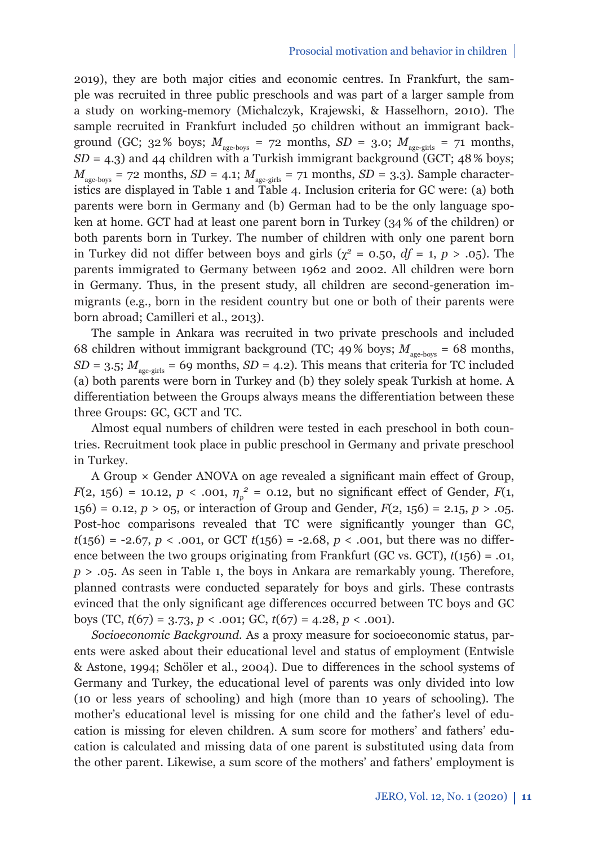2019), they are both major cities and economic centres. In Frankfurt, the sample was recruited in three public preschools and was part of a larger sample from a study on working-memory (Michalczyk, Krajewski, & Hasselhorn, 2010). The sample recruited in Frankfurt included 50 children without an immigrant background (GC;  $32\%$  boys;  $M_{\text{age-boys}} = 72$  months,  $SD = 3.0$ ;  $M_{\text{age-girls}} = 71$  months, *SD* = 4.3) and 44 children with a Turkish immigrant background (GCT; 48 % boys;  $M_{\text{age-boxs}} = 72 \text{ months}, SD = 4.1; M_{\text{age-girls}} = 71 \text{ months}, SD = 3.3$ ). Sample characteristics are displayed in Table 1 and Table 4. Inclusion criteria for GC were: (a) both parents were born in Germany and (b) German had to be the only language spoken at home. GCT had at least one parent born in Turkey (34 % of the children) or both parents born in Turkey. The number of children with only one parent born in Turkey did not differ between boys and girls ( $\chi^2$  = 0.50, *df* = 1, *p* > .05). The parents immigrated to Germany between 1962 and 2002. All children were born in Germany. Thus, in the present study, all children are second-generation immigrants (e.g., born in the resident country but one or both of their parents were born abroad; Camilleri et al., 2013).

The sample in Ankara was recruited in two private preschools and included 68 children without immigrant background (TC; 49% boys;  $M_{\text{age-boxs}} = 68$  months,  $SD = 3.5$ ;  $M_{\text{age-cirls}} = 69$  months,  $SD = 4.2$ ). This means that criteria for TC included (a) both parents were born in Turkey and (b) they solely speak Turkish at home. A differentiation between the Groups always means the differentiation between these three Groups: GC, GCT and TC.

Almost equal numbers of children were tested in each preschool in both countries. Recruitment took place in public preschool in Germany and private preschool in Turkey.

A Group  $\times$  Gender ANOVA on age revealed a significant main effect of Group, *F*(2, 156) = 10.12, *p* < .001,  $\eta_p^2$  = 0.12, but no significant effect of Gender, *F*(1, 156) = 0.12, *p* > 05, or interaction of Group and Gender, *F*(2, 156) = 2.15, *p* > .05. Post-hoc comparisons revealed that TC were significantly younger than GC,  $t(156) = -2.67$ ,  $p < .001$ , or GCT  $t(156) = -2.68$ ,  $p < .001$ , but there was no difference between the two groups originating from Frankfurt (GC vs. GCT), *t*(156) = .01, *p* > .05. As seen in Table 1, the boys in Ankara are remarkably young. Therefore, planned contrasts were conducted separately for boys and girls. These contrasts evinced that the only significant age differences occurred between TC boys and GC boys (TC, *t*(67) = 3.73, *p* < .001; GC, *t*(67) = 4.28, *p* < .001).

*Socioeconomic Background.* As a proxy measure for socioeconomic status, parents were asked about their educational level and status of employment (Entwisle & Astone, 1994; Schöler et al., 2004). Due to differences in the school systems of Germany and Turkey, the educational level of parents was only divided into low (10 or less years of schooling) and high (more than 10 years of schooling). The mother's educational level is missing for one child and the father's level of education is missing for eleven children. A sum score for mothers' and fathers' education is calculated and missing data of one parent is substituted using data from the other parent. Likewise, a sum score of the mothers' and fathers' employment is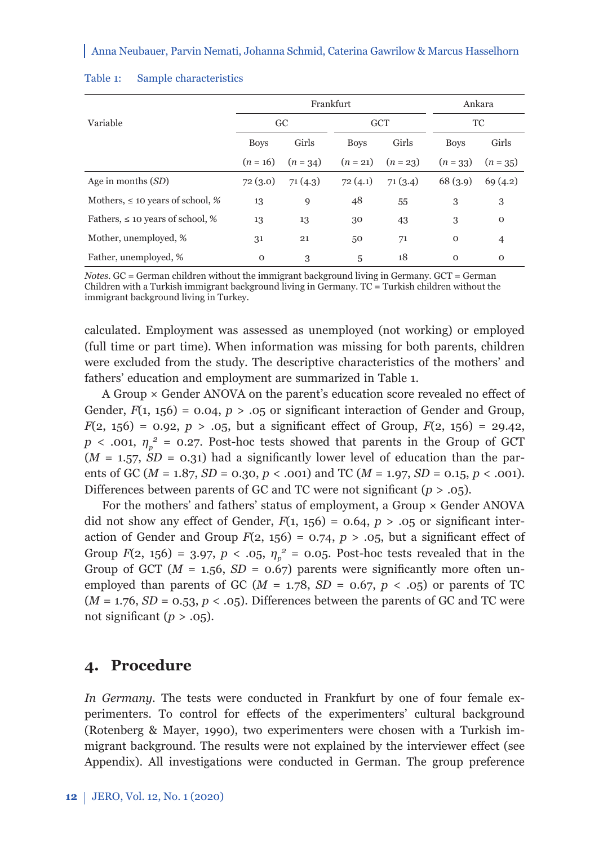|                                       |             | Frankfurt | Ankara      |            |              |              |  |
|---------------------------------------|-------------|-----------|-------------|------------|--------------|--------------|--|
| Variable                              | GC          |           |             | <b>GCT</b> | TC           |              |  |
|                                       | <b>Boys</b> | Girls     | <b>Boys</b> | Girls      | <b>Boys</b>  | Girls        |  |
|                                       | $(n = 16)$  | $(n=34)$  | $(n = 21)$  | $(n = 23)$ | $(n = 33)$   | $(n = 35)$   |  |
| Age in months $(SD)$                  | 72(3.0)     | 71(4.3)   | 72(4.1)     | 71(3.4)    | 68 (3.9)     | 69(4.2)      |  |
| Mothers, $\leq 10$ years of school, % | 13          | 9         | 48          | 55         | 3            | 3            |  |
| Fathers, $\leq 10$ years of school, % | 13          | 13        | 30          | 43         | 3            | $\mathbf 0$  |  |
| Mother, unemployed, %                 | 31          | 21        | 50          | 71         | $\mathbf{O}$ | 4            |  |
| Father, unemployed, %                 | $\mathbf 0$ | 3         | 5           | 18         | $\mathbf{O}$ | $\mathbf{O}$ |  |

#### Table 1: Sample characteristics

*Notes*. GC = German children without the immigrant background living in Germany. GCT = German Children with a Turkish immigrant background living in Germany. TC = Turkish children without the immigrant background living in Turkey.

calculated. Employment was assessed as unemployed (not working) or employed (full time or part time). When information was missing for both parents, children were excluded from the study. The descriptive characteristics of the mothers' and fathers' education and employment are summarized in Table 1.

A Group  $\times$  Gender ANOVA on the parent's education score revealed no effect of Gender,  $F(1, 156) = 0.04$ ,  $p > 0.05$  or significant interaction of Gender and Group,  $F(2, 156) = 0.92, p > .05$ , but a significant effect of Group,  $F(2, 156) = 29.42$ , *p* < .001,  $\eta_p^2$  = 0.27. Post-hoc tests showed that parents in the Group of GCT  $(M = 1.57, SD = 0.31)$  had a significantly lower level of education than the parents of GC (*M* = 1.87, *SD* = 0.30, *p* < .001) and TC (*M* = 1.97, *SD* = 0.15, *p* < .001). Differences between parents of GC and TC were not significant ( $p > .05$ ).

For the mothers' and fathers' status of employment, a Group × Gender ANOVA did not show any effect of Gender,  $F(1, 156) = 0.64$ ,  $p > .05$  or significant interaction of Gender and Group  $F(2, 156) = 0.74$ ,  $p > .05$ , but a significant effect of Group  $F(2, 156) = 3.97$ ,  $p < .05$ ,  $\eta_p^2 = 0.05$ . Post-hoc tests revealed that in the Group of GCT ( $M = 1.56$ ,  $SD = 0.67$ ) parents were significantly more often unemployed than parents of GC ( $M = 1.78$ ,  $SD = 0.67$ ,  $p < .05$ ) or parents of TC  $(M = 1.76, SD = 0.53, p < .05)$ . Differences between the parents of GC and TC were not significant  $(p > .05)$ .

## **4. Procedure**

*In Germany*. The tests were conducted in Frankfurt by one of four female experimenters. To control for effects of the experimenters' cultural background (Rotenberg & Mayer, 1990), two experimenters were chosen with a Turkish immigrant background. The results were not explained by the interviewer effect (see Appendix). All investigations were conducted in German. The group preference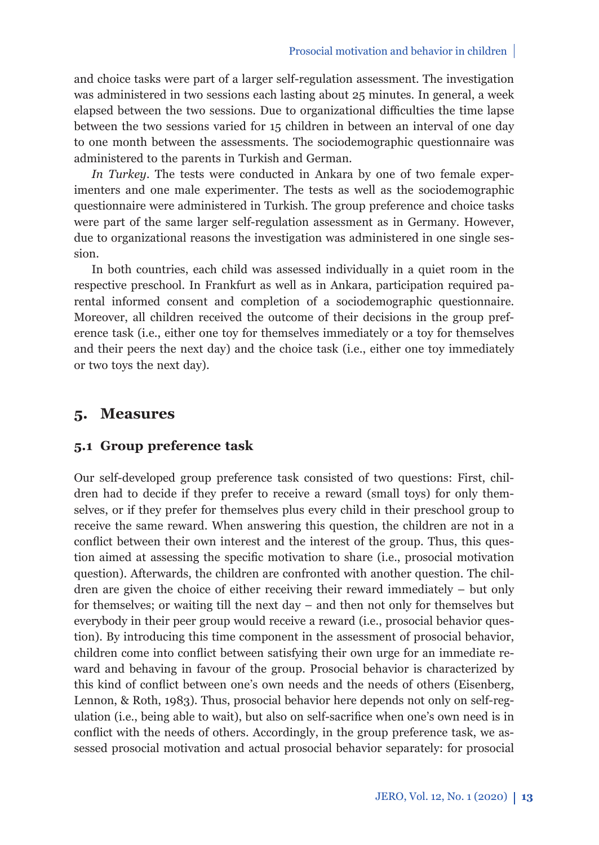and choice tasks were part of a larger self-regulation assessment. The investigation was administered in two sessions each lasting about 25 minutes. In general, a week elapsed between the two sessions. Due to organizational difficulties the time lapse between the two sessions varied for 15 children in between an interval of one day to one month between the assessments. The sociodemographic questionnaire was administered to the parents in Turkish and German.

*In Turkey.* The tests were conducted in Ankara by one of two female experimenters and one male experimenter. The tests as well as the sociodemographic questionnaire were administered in Turkish. The group preference and choice tasks were part of the same larger self-regulation assessment as in Germany. However, due to organizational reasons the investigation was administered in one single session.

In both countries, each child was assessed individually in a quiet room in the respective preschool. In Frankfurt as well as in Ankara, participation required parental informed consent and completion of a sociodemographic questionnaire. Moreover, all children received the outcome of their decisions in the group preference task (i.e., either one toy for themselves immediately or a toy for themselves and their peers the next day) and the choice task (i.e., either one toy immediately or two toys the next day).

#### **5. Measures**

### **5.1 Group preference task**

Our self-developed group preference task consisted of two questions: First, children had to decide if they prefer to receive a reward (small toys) for only themselves, or if they prefer for themselves plus every child in their preschool group to receive the same reward. When answering this question, the children are not in a conflict between their own interest and the interest of the group. Thus, this question aimed at assessing the specific motivation to share (i.e., prosocial motivation question). Afterwards, the children are confronted with another question. The children are given the choice of either receiving their reward immediately – but only for themselves; or waiting till the next day – and then not only for themselves but everybody in their peer group would receive a reward (i.e., prosocial behavior question). By introducing this time component in the assessment of prosocial behavior, children come into conflict between satisfying their own urge for an immediate reward and behaving in favour of the group. Prosocial behavior is characterized by this kind of conflict between one's own needs and the needs of others (Eisenberg, Lennon, & Roth, 1983). Thus, prosocial behavior here depends not only on self-regulation (i.e., being able to wait), but also on self-sacrifice when one's own need is in conflict with the needs of others. Accordingly, in the group preference task, we assessed prosocial motivation and actual prosocial behavior separately: for prosocial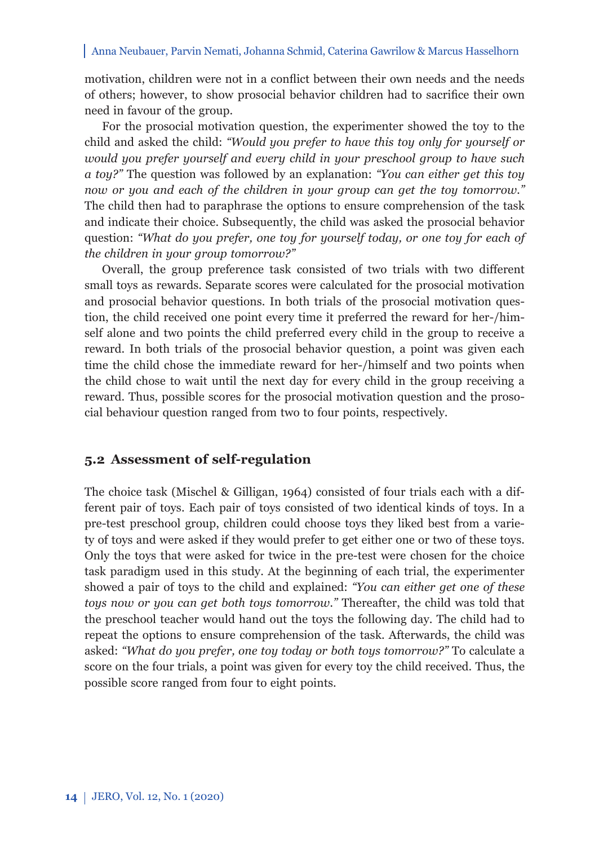motivation, children were not in a conflict between their own needs and the needs of others; however, to show prosocial behavior children had to sacrifice their own need in favour of the group.

For the prosocial motivation question, the experimenter showed the toy to the child and asked the child: *"Would you prefer to have this toy only for yourself or would you prefer yourself and every child in your preschool group to have such a toy?"* The question was followed by an explanation: *"You can either get this toy now or you and each of the children in your group can get the toy tomorrow."* The child then had to paraphrase the options to ensure comprehension of the task and indicate their choice. Subsequently, the child was asked the prosocial behavior question: *"What do you prefer, one toy for yourself today, or one toy for each of the children in your group tomorrow?"*

Overall, the group preference task consisted of two trials with two different small toys as rewards. Separate scores were calculated for the prosocial motivation and prosocial behavior questions. In both trials of the prosocial motivation question, the child received one point every time it preferred the reward for her-/himself alone and two points the child preferred every child in the group to receive a reward. In both trials of the prosocial behavior question, a point was given each time the child chose the immediate reward for her-/himself and two points when the child chose to wait until the next day for every child in the group receiving a reward. Thus, possible scores for the prosocial motivation question and the prosocial behaviour question ranged from two to four points, respectively.

### **5.2 Assessment of self-regulation**

The choice task (Mischel & Gilligan, 1964) consisted of four trials each with a different pair of toys. Each pair of toys consisted of two identical kinds of toys. In a pre-test preschool group, children could choose toys they liked best from a variety of toys and were asked if they would prefer to get either one or two of these toys. Only the toys that were asked for twice in the pre-test were chosen for the choice task paradigm used in this study. At the beginning of each trial, the experimenter showed a pair of toys to the child and explained: *"You can either get one of these toys now or you can get both toys tomorrow."* Thereafter, the child was told that the preschool teacher would hand out the toys the following day. The child had to repeat the options to ensure comprehension of the task. Afterwards, the child was asked: *"What do you prefer, one toy today or both toys tomorrow?"* To calculate a score on the four trials, a point was given for every toy the child received. Thus, the possible score ranged from four to eight points.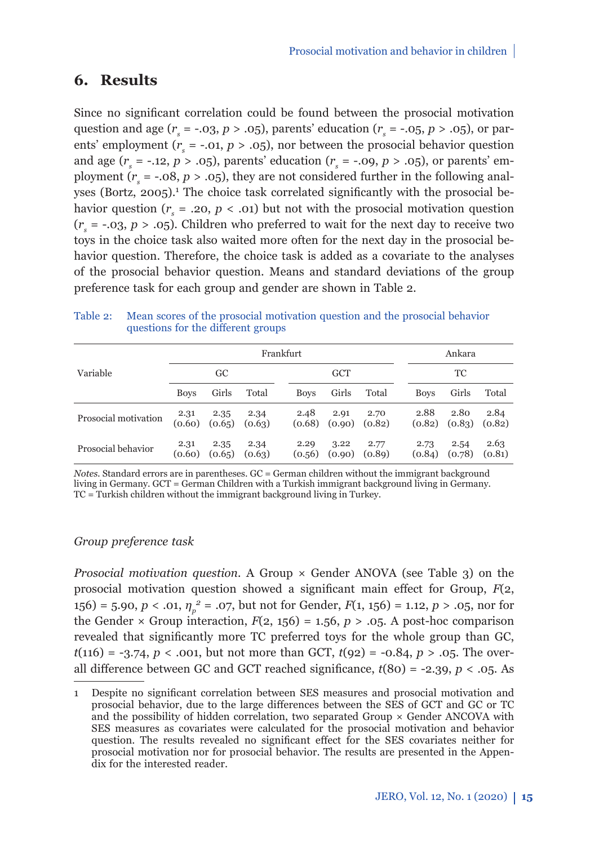# **6. Results**

Since no significant correlation could be found between the prosocial motivation question and age ( $r_s$  = -.03,  $p > .05$ ), parents' education ( $r_s$  = -.05,  $p > .05$ ), or parents' employment ( $r_s = -.01, p > .05$ ), nor between the prosocial behavior question and age  $(r_s = -.12, p > .05)$ , parents' education  $(r_s = -.09, p > .05)$ , or parents' employment ( $r_s = -.08$ ,  $p > .05$ ), they are not considered further in the following analyses (Bortz, 2005).<sup>1</sup> The choice task correlated significantly with the prosocial behavior question ( $r_s = .20, p < .01$ ) but not with the prosocial motivation question  $(r<sub>s</sub> = -.03, p > .05)$ . Children who preferred to wait for the next day to receive two toys in the choice task also waited more often for the next day in the prosocial behavior question. Therefore, the choice task is added as a covariate to the analyses of the prosocial behavior question. Means and standard deviations of the group preference task for each group and gender are shown in Table 2.

|                      | Frankfurt      |                |                |  |                |                |                           | Ankara |                |                |                |
|----------------------|----------------|----------------|----------------|--|----------------|----------------|---------------------------|--------|----------------|----------------|----------------|
| Variable             | GC             |                |                |  | <b>GCT</b>     |                |                           | ТC     |                |                |                |
|                      | <b>Boys</b>    | Girls          | Total          |  | <b>Boys</b>    | Girls          | Total                     |        | <b>Boys</b>    | Girls          | Total          |
| Prosocial motivation | 2.31<br>(0.60) | 2.35<br>(0.65) | 2.34<br>(0.63) |  | 2.48<br>(0.68) | 2.91           | 2.70<br>$(0.90)$ $(0.82)$ |        | 2.88<br>(0.82) | 2.80<br>(0.83) | 2.84<br>(0.82) |
| Prosocial behavior   | 2.31<br>(0.60) | 2.35<br>(0.65) | 2.34<br>(0.63) |  | 2.29<br>(0.56) | 3.22<br>(0.90) | 2.77<br>(0.89)            |        | 2.73<br>(0.84) | 2.54<br>(0.78) | 2.63<br>(0.81) |

#### Table 2: Mean scores of the prosocial motivation question and the prosocial behavior questions for the different groups

*Notes.* Standard errors are in parentheses. GC = German children without the immigrant background living in Germany. GCT = German Children with a Turkish immigrant background living in Germany. TC = Turkish children without the immigrant background living in Turkey.

#### *Group preference task*

*Prosocial motivation question.* A Group × Gender ANOVA (see Table 3) on the prosocial motivation question showed a significant main effect for Group,  $F(2)$ , 156) = 5.90, *p* < .01, *η<sup>p</sup> <sup>2</sup>* = .07, but not for Gender, *F*(1, 156) = 1.12, *p* > .05, nor for the Gender  $\times$  Group interaction,  $F(2, 156) = 1.56$ ,  $p > .05$ . A post-hoc comparison revealed that significantly more TC preferred toys for the whole group than GC, *t*(116) = -3.74, *p* < .001, but not more than GCT, *t*(92) = -0.84, *p* > .05. The overall difference between GC and GCT reached significance,  $t(80) = -2.39$ ,  $p < .05$ . As

<sup>1</sup> Despite no significant correlation between SES measures and prosocial motivation and prosocial behavior, due to the large differences between the SES of GCT and GC or TC and the possibility of hidden correlation, two separated Group × Gender ANCOVA with SES measures as covariates were calculated for the prosocial motivation and behavior question. The results revealed no significant effect for the SES covariates neither for prosocial motivation nor for prosocial behavior. The results are presented in the Appendix for the interested reader.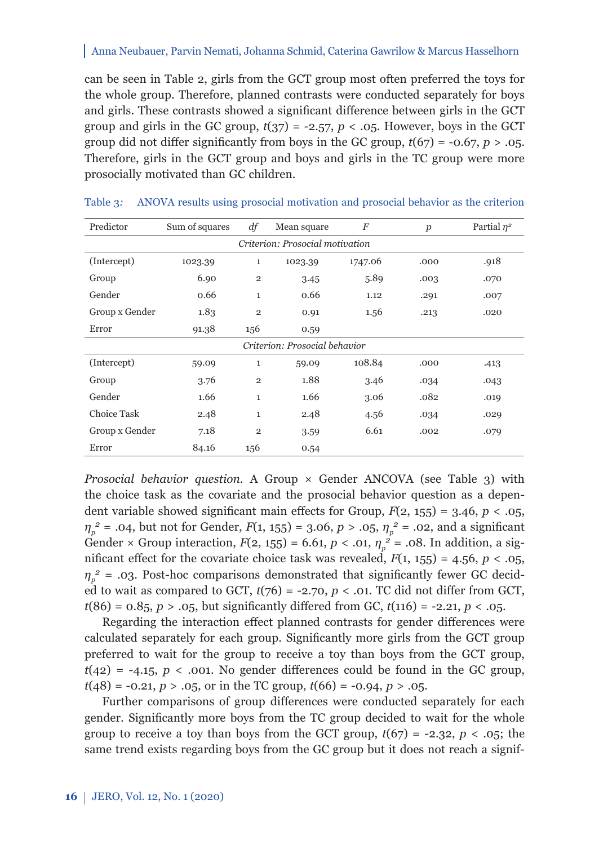can be seen in Table 2, girls from the GCT group most often preferred the toys for the whole group. Therefore, planned contrasts were conducted separately for boys and girls. These contrasts showed a significant difference between girls in the GCT group and girls in the GC group,  $t(37) = -2.57$ ,  $p < .05$ . However, boys in the GCT group did not differ significantly from boys in the GC group,  $t(67) = -0.67$ ,  $p > 0.05$ . Therefore, girls in the GCT group and boys and girls in the TC group were more prosocially motivated than GC children.

| Predictor                       | Sum of squares | df             | Mean square | F       | $\boldsymbol{p}$ | Partial $n^2$ |  |  |  |
|---------------------------------|----------------|----------------|-------------|---------|------------------|---------------|--|--|--|
| Criterion: Prosocial motivation |                |                |             |         |                  |               |  |  |  |
| (Intercept)                     | 1023.39        | 1              | 1023.39     | 1747.06 | .000             | .918          |  |  |  |
| Group                           | 6.90           | $\overline{2}$ | 3.45        | 5.89    | .003             | .070          |  |  |  |
| Gender                          | 0.66           | 1              | 0.66        | 1.12    | .291             | .007          |  |  |  |
| Group x Gender                  | 1.83           | $\mathbf{2}$   | 0.91        | 1.56    | .213             | .020          |  |  |  |
| Error                           | 91.38          | 156            | 0.59        |         |                  |               |  |  |  |
| Criterion: Prosocial behavior   |                |                |             |         |                  |               |  |  |  |
| (Intercept)                     | 59.09          | 1              | 59.09       | 108.84  | .000             | .413          |  |  |  |
| Group                           | 3.76           | $\overline{2}$ | 1.88        | 3.46    | .034             | .043          |  |  |  |
| Gender                          | 1.66           | $\mathbf{1}$   | 1.66        | 3.06    | .082             | .019          |  |  |  |
| <b>Choice Task</b>              | 2.48           | $\mathbf{1}$   | 2.48        | 4.56    | .034             | .029          |  |  |  |
| Group x Gender                  | 7.18           | $\overline{2}$ | 3.59        | 6.61    | .002             | .079          |  |  |  |
| Error                           | 84.16          | 156            | 0.54        |         |                  |               |  |  |  |

Table 3*:* ANOVA results using prosocial motivation and prosocial behavior as the criterion

*Prosocial behavior question.* A Group × Gender ANCOVA (see Table 3) with the choice task as the covariate and the prosocial behavior question as a dependent variable showed significant main effects for Group,  $F(2, 155) = 3.46$ ,  $p < .05$ , *η*<sub>*p*</sub></sub>  $=$  .04, but not for Gender, *F*(1, 155) = 3.06, *p* > .05, *η*<sub>*p*</sub></sub>  $=$  .02, and a significant Gender × Group interaction,  $F(2, 155) = 6.61$ ,  $p < .01$ ,  $\eta_p^2 = .08$ . In addition, a significant effect for the covariate choice task was revealed,  $F(1, 155) = 4.56$ ,  $p < .05$ ,  $\eta_p^2$  = .03. Post-hoc comparisons demonstrated that significantly fewer GC decided to wait as compared to GCT,  $t(76) = -2.70$ ,  $p < .01$ . TC did not differ from GCT,  $t(86) = 0.85, p > .05$ , but significantly differed from GC,  $t(116) = -2.21, p < .05$ .

Regarding the interaction effect planned contrasts for gender differences were calculated separately for each group. Significantly more girls from the GCT group preferred to wait for the group to receive a toy than boys from the GCT group,  $t(42) = -4.15$ ,  $p < .001$ . No gender differences could be found in the GC group,  $t(48) = -0.21, p > .05$ , or in the TC group,  $t(66) = -0.94, p > .05$ .

Further comparisons of group differences were conducted separately for each gender. Significantly more boys from the TC group decided to wait for the whole group to receive a toy than boys from the GCT group,  $t(67) = -2.32$ ,  $p < .05$ ; the same trend exists regarding boys from the GC group but it does not reach a signif-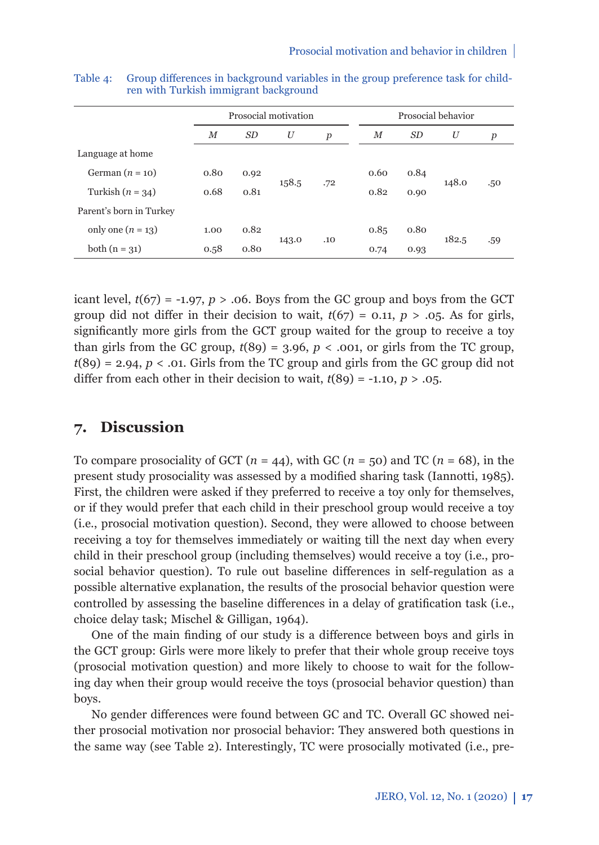|                         |        |                | Prosocial motivation |                  | Prosocial behavior |           |       |                  |  |  |
|-------------------------|--------|----------------|----------------------|------------------|--------------------|-----------|-------|------------------|--|--|
|                         | $_{M}$ | SD <sub></sub> | U                    | $\boldsymbol{p}$ | М                  | <i>SD</i> | U     | $\boldsymbol{p}$ |  |  |
| Language at home        |        |                |                      |                  |                    |           |       |                  |  |  |
| German $(n = 10)$       | 0.80   | 0.92           |                      |                  | 0.60               | 0.84      | 148.0 | .50              |  |  |
| Turkish $(n = 34)$      | 0.68   | 0.81           | 158.5                | .72              | 0.82               | 0.90      |       |                  |  |  |
| Parent's born in Turkey |        |                |                      |                  |                    |           |       |                  |  |  |
| only one $(n = 13)$     | 1.00   | 0.82           |                      | .10              | 0.85               | 0.80      | 182.5 |                  |  |  |
| both $(n = 31)$         | 0.58   | 0.80           | 143.0                |                  | 0.74               | 0.93      |       | .59              |  |  |

Table 4: Group differences in background variables in the group preference task for children with Turkish immigrant background

icant level,  $t(67) = -1.97$ ,  $p > .06$ . Boys from the GC group and boys from the GCT group did not differ in their decision to wait,  $t(67) = 0.11$ ,  $p > 0.05$ . As for girls, significantly more girls from the GCT group waited for the group to receive a toy than girls from the GC group,  $t(89) = 3.96$ ,  $p < .001$ , or girls from the TC group,  $t(89) = 2.94$ ,  $p < 0.01$ . Girls from the TC group and girls from the GC group did not differ from each other in their decision to wait,  $t(89) = -1.10$ ,  $p > .05$ .

## **7. Discussion**

To compare prosociality of GCT ( $n = 44$ ), with GC ( $n = 50$ ) and TC ( $n = 68$ ), in the present study prosociality was assessed by a modified sharing task (Iannotti, 1985). First, the children were asked if they preferred to receive a toy only for themselves, or if they would prefer that each child in their preschool group would receive a toy (i.e., prosocial motivation question). Second, they were allowed to choose between receiving a toy for themselves immediately or waiting till the next day when every child in their preschool group (including themselves) would receive a toy (i.e., prosocial behavior question). To rule out baseline differences in self-regulation as a possible alternative explanation, the results of the prosocial behavior question were controlled by assessing the baseline differences in a delay of gratification task (i.e., choice delay task; Mischel & Gilligan, 1964).

One of the main finding of our study is a difference between boys and girls in the GCT group: Girls were more likely to prefer that their whole group receive toys (prosocial motivation question) and more likely to choose to wait for the following day when their group would receive the toys (prosocial behavior question) than boys.

No gender differences were found between GC and TC. Overall GC showed neither prosocial motivation nor prosocial behavior: They answered both questions in the same way (see Table 2). Interestingly, TC were prosocially motivated (i.e., pre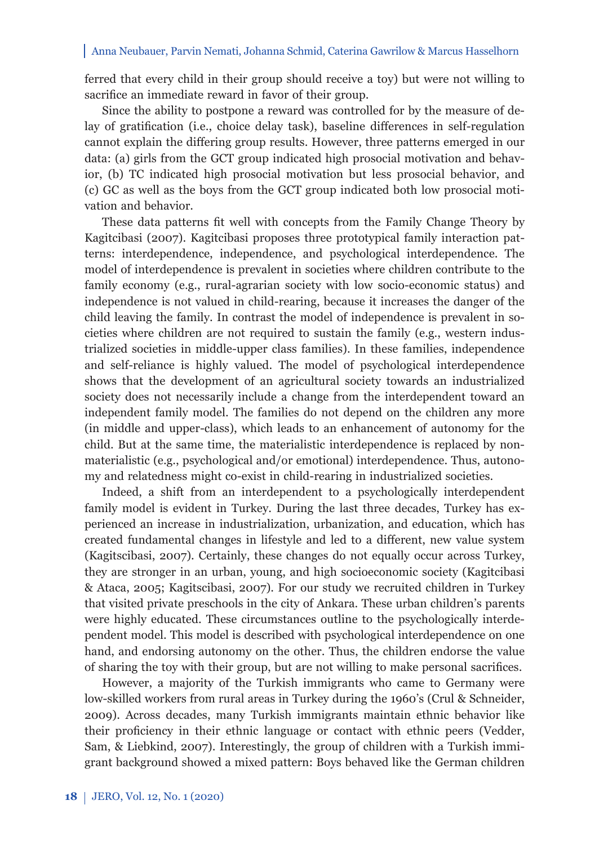ferred that every child in their group should receive a toy) but were not willing to sacrifice an immediate reward in favor of their group.

Since the ability to postpone a reward was controlled for by the measure of delay of gratification (i.e., choice delay task), baseline differences in self-regulation cannot explain the differing group results. However, three patterns emerged in our data: (a) girls from the GCT group indicated high prosocial motivation and behavior, (b) TC indicated high prosocial motivation but less prosocial behavior, and (c) GC as well as the boys from the GCT group indicated both low prosocial motivation and behavior.

These data patterns fit well with concepts from the Family Change Theory by Kagitcibasi (2007). Kagitcibasi proposes three prototypical family interaction patterns: interdependence, independence, and psychological interdependence. The model of interdependence is prevalent in societies where children contribute to the family economy (e.g., rural-agrarian society with low socio-economic status) and independence is not valued in child-rearing, because it increases the danger of the child leaving the family. In contrast the model of independence is prevalent in societies where children are not required to sustain the family (e.g., western industrialized societies in middle-upper class families). In these families, independence and self-reliance is highly valued. The model of psychological interdependence shows that the development of an agricultural society towards an industrialized society does not necessarily include a change from the interdependent toward an independent family model. The families do not depend on the children any more (in middle and upper-class), which leads to an enhancement of autonomy for the child. But at the same time, the materialistic interdependence is replaced by nonmaterialistic (e.g., psychological and/or emotional) interdependence. Thus, autonomy and relatedness might co-exist in child-rearing in industrialized societies.

Indeed, a shift from an interdependent to a psychologically interdependent family model is evident in Turkey. During the last three decades, Turkey has experienced an increase in industrialization, urbanization, and education, which has created fundamental changes in lifestyle and led to a different, new value system (Kagitscibasi, 2007). Certainly, these changes do not equally occur across Turkey, they are stronger in an urban, young, and high socioeconomic society (Kagitcibasi & Ataca, 2005; Kagitscibasi, 2007). For our study we recruited children in Turkey that visited private preschools in the city of Ankara. These urban children's parents were highly educated. These circumstances outline to the psychologically interdependent model. This model is described with psychological interdependence on one hand, and endorsing autonomy on the other. Thus, the children endorse the value of sharing the toy with their group, but are not willing to make personal sacrifices.

However, a majority of the Turkish immigrants who came to Germany were low-skilled workers from rural areas in Turkey during the 1960's (Crul & Schneider, 2009). Across decades, many Turkish immigrants maintain ethnic behavior like their proficiency in their ethnic language or contact with ethnic peers (Vedder, Sam, & Liebkind, 2007). Interestingly, the group of children with a Turkish immigrant background showed a mixed pattern: Boys behaved like the German children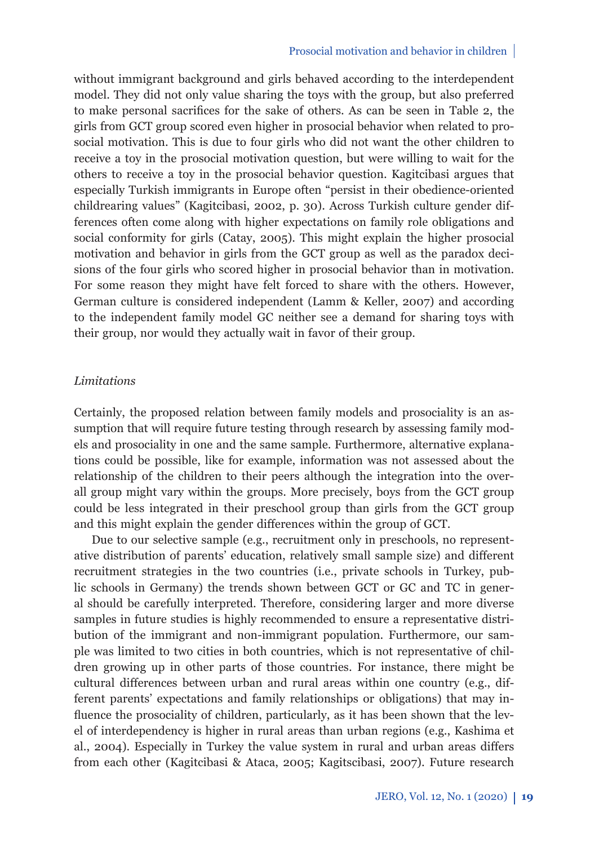without immigrant background and girls behaved according to the interdependent model. They did not only value sharing the toys with the group, but also preferred to make personal sacrifices for the sake of others. As can be seen in Table 2, the girls from GCT group scored even higher in prosocial behavior when related to prosocial motivation. This is due to four girls who did not want the other children to receive a toy in the prosocial motivation question, but were willing to wait for the others to receive a toy in the prosocial behavior question. Kagitcibasi argues that especially Turkish immigrants in Europe often "persist in their obedience-oriented childrearing values" (Kagitcibasi, 2002, p. 30). Across Turkish culture gender differences often come along with higher expectations on family role obligations and social conformity for girls (Catay, 2005). This might explain the higher prosocial motivation and behavior in girls from the GCT group as well as the paradox decisions of the four girls who scored higher in prosocial behavior than in motivation. For some reason they might have felt forced to share with the others. However, German culture is considered independent (Lamm & Keller, 2007) and according to the independent family model GC neither see a demand for sharing toys with their group, nor would they actually wait in favor of their group.

#### *Limitations*

Certainly, the proposed relation between family models and prosociality is an assumption that will require future testing through research by assessing family models and prosociality in one and the same sample. Furthermore, alternative explanations could be possible, like for example, information was not assessed about the relationship of the children to their peers although the integration into the overall group might vary within the groups. More precisely, boys from the GCT group could be less integrated in their preschool group than girls from the GCT group and this might explain the gender differences within the group of GCT.

Due to our selective sample (e.g., recruitment only in preschools, no representative distribution of parents' education, relatively small sample size) and different recruitment strategies in the two countries (i.e., private schools in Turkey, public schools in Germany) the trends shown between GCT or GC and TC in general should be carefully interpreted. Therefore, considering larger and more diverse samples in future studies is highly recommended to ensure a representative distribution of the immigrant and non-immigrant population. Furthermore, our sample was limited to two cities in both countries, which is not representative of children growing up in other parts of those countries. For instance, there might be cultural differences between urban and rural areas within one country (e.g., different parents' expectations and family relationships or obligations) that may influence the prosociality of children, particularly, as it has been shown that the level of interdependency is higher in rural areas than urban regions (e.g., Kashima et al., 2004). Especially in Turkey the value system in rural and urban areas differs from each other (Kagitcibasi & Ataca, 2005; Kagitscibasi, 2007). Future research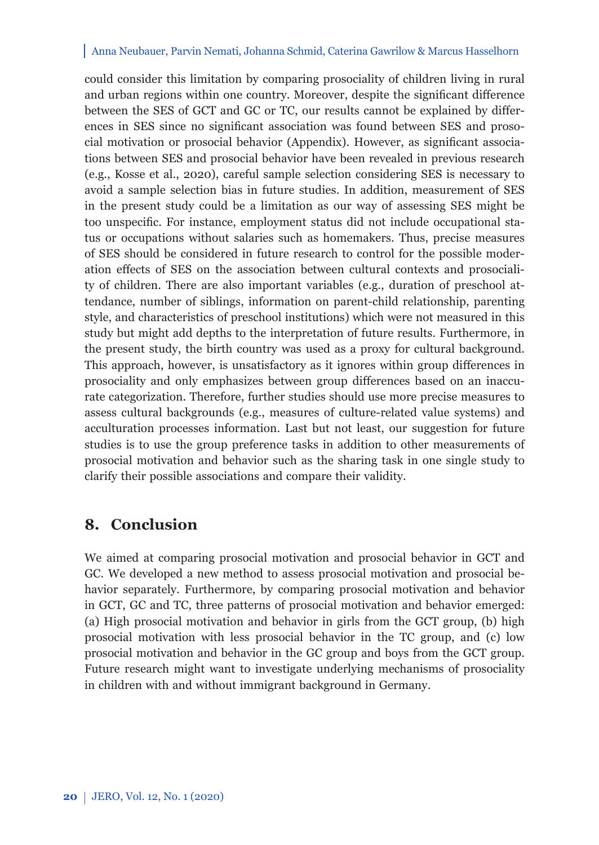could consider this limitation by comparing prosociality of children living in rural and urban regions within one country. Moreover, despite the significant difference between the SES of GCT and GC or TC, our results cannot be explained by differences in SES since no significant association was found between SES and prosocial motivation or prosocial behavior (Appendix). However, as significant associations between SES and prosocial behavior have been revealed in previous research (e.g., Kosse et al., 2020), careful sample selection considering SES is necessary to avoid a sample selection bias in future studies. In addition, measurement of SES in the present study could be a limitation as our way of assessing SES might be too unspecific. For instance, employment status did not include occupational status or occupations without salaries such as homemakers. Thus, precise measures of SES should be considered in future research to control for the possible moderation effects of SES on the association between cultural contexts and prosociality of children. There are also important variables (e.g., duration of preschool attendance, number of siblings, information on parent-child relationship, parenting style, and characteristics of preschool institutions) which were not measured in this study but might add depths to the interpretation of future results. Furthermore, in the present study, the birth country was used as a proxy for cultural background. This approach, however, is unsatisfactory as it ignores within group differences in prosociality and only emphasizes between group differences based on an inaccurate categorization. Therefore, further studies should use more precise measures to assess cultural backgrounds (e.g., measures of culture-related value systems) and acculturation processes information. Last but not least, our suggestion for future studies is to use the group preference tasks in addition to other measurements of prosocial motivation and behavior such as the sharing task in one single study to clarify their possible associations and compare their validity.

## **8. Conclusion**

We aimed at comparing prosocial motivation and prosocial behavior in GCT and GC. We developed a new method to assess prosocial motivation and prosocial behavior separately. Furthermore, by comparing prosocial motivation and behavior in GCT, GC and TC, three patterns of prosocial motivation and behavior emerged: (a) High prosocial motivation and behavior in girls from the GCT group, (b) high prosocial motivation with less prosocial behavior in the TC group, and (c) low prosocial motivation and behavior in the GC group and boys from the GCT group. Future research might want to investigate underlying mechanisms of prosociality in children with and without immigrant background in Germany.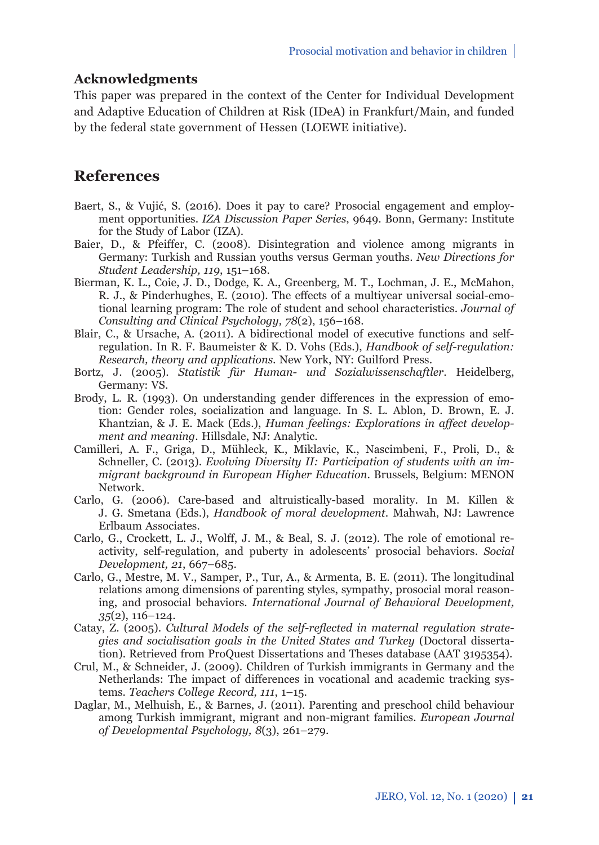### **Acknowledgments**

This paper was prepared in the context of the Center for Individual Development and Adaptive Education of Children at Risk (IDeA) in Frankfurt/Main, and funded by the federal state government of Hessen (LOEWE initiative).

## **References**

- Baert, S., & Vujić, S. (2016). Does it pay to care? Prosocial engagement and employment opportunities. *IZA Discussion Paper Series*, 9649. Bonn, Germany: Institute for the Study of Labor (IZA).
- Baier, D., & Pfeiffer, C. (2008). Disintegration and violence among migrants in Germany: Turkish and Russian youths versus German youths. *New Directions for Student Leadership, 119*, 151–168.
- Bierman, K. L., Coie, J. D., Dodge, K. A., Greenberg, M. T., Lochman, J. E., McMahon, R. J., & Pinderhughes, E. (2010). The effects of a multiyear universal social-emotional learning program: The role of student and school characteristics. *Journal of Consulting and Clinical Psychology, 78*(2), 156–168.
- Blair, C., & Ursache, A. (2011). A bidirectional model of executive functions and selfregulation. In R. F. Baumeister & K. D. Vohs (Eds.), *Handbook of self-regulation: Research, theory and applications.* New York, NY: Guilford Press.
- Bortz, J. (2005). *Statistik für Human- und Sozialwissenschaftler*. Heidelberg, Germany: VS.
- Brody, L. R. (1993). On understanding gender differences in the expression of emotion: Gender roles, socialization and language. In S. L. Ablon, D. Brown, E. J. Khantzian, & J. E. Mack (Eds.), *Human feelings: Explorations in affect development and meaning*. Hillsdale, NJ: Analytic.
- Camilleri, A. F., Griga, D., Mühleck, K., Miklavic, K., Nascimbeni, F., Proli, D., & Schneller, C. (2013). *Evolving Diversity II: Participation of students with an immigrant background in European Higher Education*. Brussels, Belgium: MENON Network.
- Carlo, G. (2006). Care-based and altruistically-based morality. In M. Killen & J. G. Smetana (Eds.), *Handbook of moral development*. Mahwah, NJ: Lawrence Erlbaum Associates.
- Carlo, G., Crockett, L. J., Wolff, J. M., & Beal, S. J. (2012). The role of emotional reactivity, self-regulation, and puberty in adolescents' prosocial behaviors. *Social Development, 21*, 667–685.
- Carlo, G., Mestre, M. V., Samper, P., Tur, A., & Armenta, B. E. (2011). The longitudinal relations among dimensions of parenting styles, sympathy, prosocial moral reasoning, and prosocial behaviors. *International Journal of Behavioral Development, 35*(2), 116–124.
- Catay, Z. (2005). *Cultural Models of the self-reflected in maternal regulation strategies and socialisation goals in the United States and Turkey* (Doctoral dissertation). Retrieved from ProQuest Dissertations and Theses database (AAT 3195354).
- Crul, M., & Schneider, J. (2009). Children of Turkish immigrants in Germany and the Netherlands: The impact of differences in vocational and academic tracking systems. *Teachers College Record, 111*, 1–15.
- Daglar, M., Melhuish, E., & Barnes, J. (2011). Parenting and preschool child behaviour among Turkish immigrant, migrant and non-migrant families. *European Journal of Developmental Psychology, 8*(3), 261–279.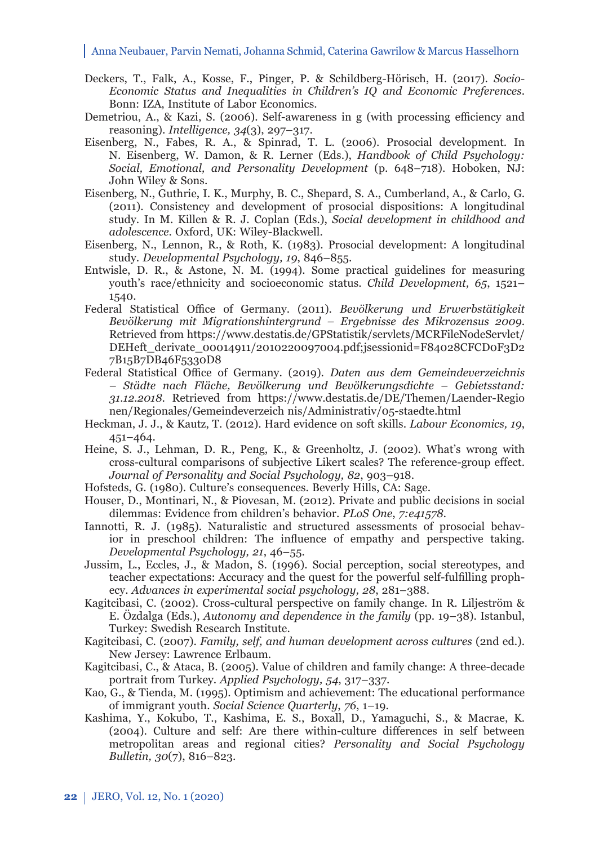- Deckers, T., Falk, A., Kosse, F., Pinger, P. & Schildberg-Hörisch, H. (2017). *Socio-Economic Status and Inequalities in Children's IQ and Economic Preferences*. Bonn: IZA, Institute of Labor Economics.
- Demetriou, A., & Kazi, S. (2006). Self-awareness in g (with processing efficiency and reasoning). *Intelligence, 34*(3), 297–317.
- Eisenberg, N., Fabes, R. A., & Spinrad, T. L. (2006). Prosocial development. In N. Eisenberg, W. Damon, & R. Lerner (Eds.), *Handbook of Child Psychology: Social, Emotional, and Personality Development* (p. 648–718). Hoboken, NJ: John Wiley & Sons.
- Eisenberg, N., Guthrie, I. K., Murphy, B. C., Shepard, S. A., Cumberland, A., & Carlo, G. (2011). Consistency and development of prosocial dispositions: A longitudinal study. In M. Killen & R. J. Coplan (Eds.), *Social development in childhood and adolescence*. Oxford, UK: Wiley-Blackwell.
- Eisenberg, N., Lennon, R., & Roth, K. (1983). Prosocial development: A longitudinal study. *Developmental Psychology, 19*, 846–855.
- Entwisle, D. R., & Astone, N. M. (1994). Some practical guidelines for measuring youth's race/ethnicity and socioeconomic status. *Child Development, 65*, 1521– 1540.
- Federal Statistical Office of Germany. (2011). *Bevölkerung und Erwerbstätigkeit Bevölkerung mit Migrationshintergrund – Ergebnisse des Mikrozensus 2009*. Retrieved from https://www.destatis.de/GPStatistik/servlets/MCRFileNodeServlet/ DEHeft\_derivate\_00014911/2010220097004.pdf;jsessionid=F84028CFCD0F3D2 7B15B7DB46F5330D8
- Federal Statistical Office of Germany. (2019). *Daten aus dem Gemeindeverzeichnis – Städte nach Fläche, Bevölkerung und Bevölkerungsdichte – Gebietsstand: 31.12.2018*. Retrieved from https://www.destatis.de/DE/Themen/Laender-Regio nen/Regionales/Gemeindeverzeich nis/Administrativ/05-staedte.html
- Heckman, J. J., & Kautz, T. (2012). Hard evidence on soft skills. *Labour Economics, 19*, 451–464.
- Heine, S. J., Lehman, D. R., Peng, K., & Greenholtz, J. (2002). What's wrong with cross-cultural comparisons of subjective Likert scales? The reference-group effect. *Journal of Personality and Social Psychology, 82*, 903–918.
- Hofsteds, G. (1980). Culture's consequences. Beverly Hills, CA: Sage.
- Houser, D., Montinari, N., & Piovesan, M. (2012). Private and public decisions in social dilemmas: Evidence from children's behavior. *PLoS One*, *7:e41578.*
- Iannotti, R. J. (1985). Naturalistic and structured assessments of prosocial behavior in preschool children: The influence of empathy and perspective taking. *Developmental Psychology, 21*, 46–55.
- Jussim, L., Eccles, J., & Madon, S. (1996). Social perception, social stereotypes, and teacher expectations: Accuracy and the quest for the powerful self-fulfilling prophecy. *Advances in experimental social psychology, 28*, 281–388.
- Kagitcibasi, C. (2002). Cross-cultural perspective on family change. In R. Liljeström & E. Özdalga (Eds.), *Autonomy and dependence in the family* (pp. 19–38). Istanbul, Turkey: Swedish Research Institute.
- Kagitcibasi, C. (2007). *Family, self, and human development across cultures* (2nd ed.). New Jersey: Lawrence Erlbaum.
- Kagitcibasi, C., & Ataca, B. (2005). Value of children and family change: A three-decade portrait from Turkey. *Applied Psychology, 54*, 317–337.
- Kao, G., & Tienda, M. (1995). Optimism and achievement: The educational performance of immigrant youth. *Social Science Quarterly*, *76*, 1–19.
- Kashima, Y., Kokubo, T., Kashima, E. S., Boxall, D., Yamaguchi, S., & Macrae, K.  $(2004)$ . Culture and self: Are there within-culture differences in self between metro politan areas and regional cities? *Personality and Social Psychology Bulletin, 30*(7), 816–823.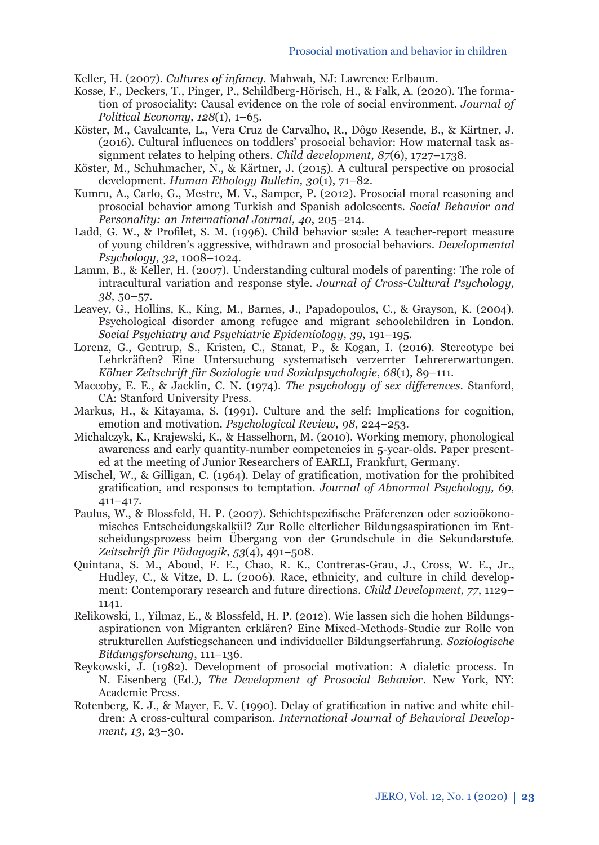Keller, H. (2007). *Cultures of infancy.* Mahwah, NJ: Lawrence Erlbaum.

- Kosse, F., Deckers, T., Pinger, P., Schildberg-Hörisch, H., & Falk, A. (2020). The formation of prosociality: Causal evidence on the role of social environment. *Journal of Political Economy, 128*(1), 1–65.
- Köster, M., Cavalcante, L., Vera Cruz de Carvalho, R., Dôgo Resende, B., & Kärtner, J. (2016). Cultural influences on toddlers' prosocial behavior: How maternal task assignment relates to helping others. *Child development*, *87*(6), 1727–1738.
- Köster, M., Schuhmacher, N., & Kärtner, J. (2015). A cultural perspective on prosocial development. *Human Ethology Bulletin, 30*(1), 71–82.
- Kumru, A., Carlo, G., Mestre, M. V., Samper, P. (2012). Prosocial moral reasoning and prosocial behavior among Turkish and Spanish adolescents. *Social Behavior and Personality: an International Journal, 40*, 205–214.
- Ladd, G. W., & Profilet, S. M. (1996). Child behavior scale: A teacher-report measure of young children's aggressive, withdrawn and prosocial behaviors. *Developmental Psychology, 32*, 1008–1024.
- Lamm, B., & Keller, H. (2007). Understanding cultural models of parenting: The role of intracultural variation and response style. *Journal of Cross-Cultural Psychology, 38*, 50–57.
- Leavey, G., Hollins, K., King, M., Barnes, J., Papadopoulos, C., & Grayson, K. (2004). Psychological disorder among refugee and migrant schoolchildren in London. *Social Psychiatry and Psychiatric Epidemiology, 39*, 191–195.
- Lorenz, G., Gentrup, S., Kristen, C., Stanat, P., & Kogan, I. (2016). Stereotype bei Lehrkräften? Eine Untersuchung systematisch verzerrter Lehrererwartungen. *Kölner Zeitschrift für Soziologie und Sozialpsychologie*, *68*(1), 89–111.
- Maccoby, E. E., & Jacklin, C. N. (1974). *The psychology of sex differences*. Stanford, CA: Stanford University Press.
- Markus, H., & Kitayama, S. (1991). Culture and the self: Implications for cognition, emotion and motivation. *Psychological Review, 98*, 224–253.
- Michalczyk, K., Krajewski, K., & Hasselhorn, M. (2010). Working memory, phonological awareness and early quantity-number competencies in 5-year-olds. Paper presented at the meeting of Junior Researchers of EARLI, Frankfurt, Germany.
- Mischel, W., & Gilligan, C. (1964). Delay of gratification, motivation for the prohibited gratifi cation, and responses to temptation. *Journal of Abnormal Psychology, 69*, 411–417.
- Paulus, W., & Blossfeld, H. P. (2007). Schichtspezifische Präferenzen oder sozioökonomisches Entscheidungskalkül? Zur Rolle elterlicher Bildungsaspirationen im Entscheidungsprozess beim Übergang von der Grundschule in die Sekundarstufe. *Zeitschrift für Pädagogik, 53*(4), 491–508.
- Quintana, S. M., Aboud, F. E., Chao, R. K., Contreras-Grau, J., Cross, W. E., Jr., Hudley, C., & Vitze, D. L. (2006). Race, ethnicity, and culture in child development: Contemporary research and future directions. *Child Development, 77*, 1129– 1141.
- Relikowski, I., Yilmaz, E., & Blossfeld, H. P. (2012). Wie lassen sich die hohen Bildungsaspirationen von Migranten erklären? Eine Mixed-Methods-Studie zur Rolle von strukturellen Aufstiegschancen und individueller Bildungserfahrung. *Soziologische Bildungs forschung*, 111–136.
- Reykowski, J. (1982). Development of prosocial motivation: A dialetic process. In N. Eisenberg (Ed.), *The Development of Prosocial Behavior*. New York, NY: Academic Press.
- Rotenberg, K. J., & Mayer, E. V. (1990). Delay of gratification in native and white children: A cross-cultural comparison. *International Journal of Behavioral Development, 13*, 23–30.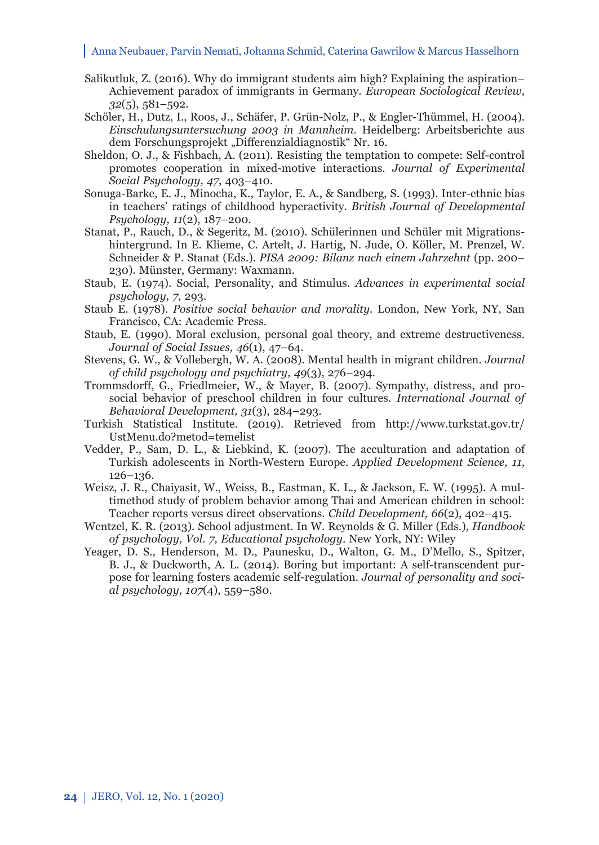- Salikutluk, Z. (2016). Why do immigrant students aim high? Explaining the aspiration– Achievement paradox of immigrants in Germany. *European Sociological Review, 32*(5), 581–592.
- Schöler, H., Dutz, I., Roos, J., Schäfer, P. Grün-Nolz, P., & Engler-Thümmel, H. (2004). *Einschulungsuntersuchung 2003 in Mannheim.* Heidelberg: Arbeitsberichte aus dem Forschungsprojekt "Differenzialdiagnostik" Nr. 16.
- Sheldon, O. J., & Fishbach, A. (2011). Resisting the temptation to compete: Self-control promotes cooperation in mixed-motive interactions. *Journal of Experimental Social Psychology, 47*, 403–410.
- Sonuga-Barke, E. J., Minocha, K., Taylor, E. A., & Sandberg, S. (1993). Inter-ethnic bias in teachers' ratings of childhood hyperactivity. *British Journal of Developmental Psychology, 11*(2), 187–200.
- Stanat, P., Rauch, D., & Segeritz, M. (2010). Schülerinnen und Schüler mit Migrationshintergrund. In E. Klieme, C. Artelt, J. Hartig, N. Jude, O. Köller, M. Prenzel, W. Schneider & P. Stanat (Eds.). *PISA 2009: Bilanz nach einem Jahrzehnt* (pp. 200– 230). Münster, Germany: Waxmann.
- Staub, E. (1974). Social, Personality, and Stimulus. *Advances in experimental social psychology, 7*, 293.
- Staub E. (1978). *Positive social behavior and morality*. London, New York, NY, San Francisco, CA: Academic Press.
- Staub, E. (1990). Moral exclusion, personal goal theory, and extreme destructiveness. *Journal of Social Issues, 46*(1), 47–64.
- Stevens, G. W., & Vollebergh, W. A. (2008). Mental health in migrant children. *Journal of child psychology and psychiatry, 49*(3), 276–294.
- Trommsdorff , G., Friedlmeier, W., & Mayer, B. (2007). Sympathy, distress, and prosocial behavior of preschool children in four cultures. *International Journal of Behavioral Development, 31*(3), 284–293.
- Turkish Statistical Institute. (2019). Retrieved from http://www.turkstat.gov.tr/ UstMenu.do?metod=temelist
- Vedder, P., Sam, D. L., & Liebkind, K. (2007). The acculturation and adaptation of Turkish adolescents in North-Western Europe. *Applied Development Science, 11*, 126–136.
- Weisz, J. R., Chaiyasit, W., Weiss, B., Eastman, K. L., & Jackson, E. W. (1995). A multimethod study of problem behavior among Thai and American children in school: Teacher reports versus direct observations. *Child Development, 66*(2), 402–415.
- Wentzel, K. R. (2013). School adjustment. In W. Reynolds & G. Miller (Eds.), *Handbook of psychology, Vol. 7, Educational psychology*. New York, NY: Wiley
- Yeager, D. S., Henderson, M. D., Paunesku, D., Walton, G. M., D'Mello, S., Spitzer, B. J., & Duckworth, A. L. (2014). Boring but important: A self-transcendent purpose for learning fosters academic self-regulation. *Journal of personality and social psychology, 107*(4), 559–580.